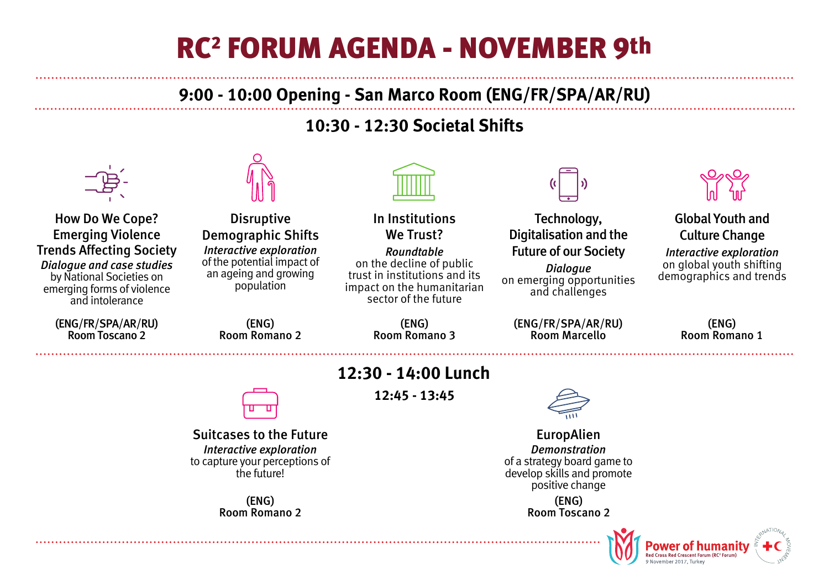# RC2 FORUM AGENDA - NOVEMBER 9th

## **9:00 - 10:00 Opening - San Marco Room (ENG/FR/SPA/AR/RU)**

## **10:30 - 12:30 Societal Shifts**



How Do We Cope? Emerging Violence Trends Affecting Society *Dialogue and case studies* by National Societies on emerging forms of violence and intolerance

> (ENG/FR/SPA/AR/RU) Room Toscano 2

Disruptive Demographic Shifts *Interactive exploration* of the potential impact of an ageing and growing population

> (ENG) Room Romano 2

In Institutions We Trust?

*Roundtable* on the decline of public trust in institutions and its impact on the humanitarian sector of the future

> (ENG) Room Romano 3



Technology, Digitalisation and the Future of our Society *Dialogue* on emerging opportunities and challenges

(ENG/FR/SPA/AR/RU) Room Marcello



#### Global Youth and Culture Change

*Interactive exploration* on global youth shifting demographics and trends

> (ENG) Room Romano 1



Suitcases to the Future *Interactive exploration* to capture your perceptions of the future!

> (ENG) Room Romano 2

## **12:30 - 14:00 Lunch**

**12:45 - 13:45**



EuropAlien *Demonstration* of a strategy board game to develop skills and promote positive change

(ENG) Room Toscano 2